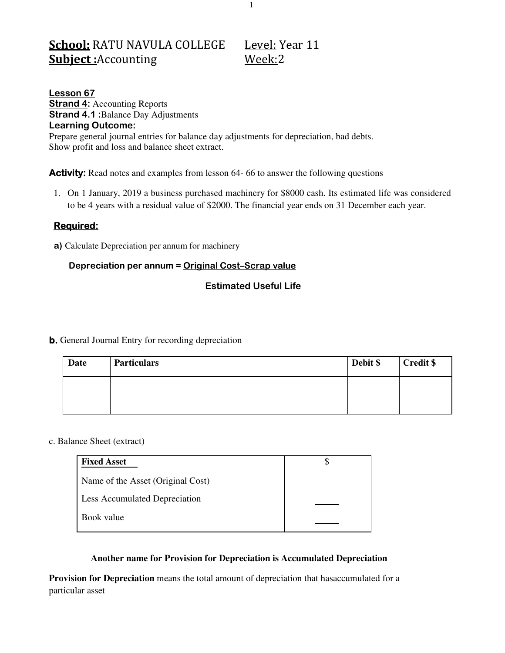# School: RATU NAVULA COLLEGE Level: Year 11 **Subject:**Accounting Week:2

**Lesson 67 Strand 4: Accounting Reports Strand 4.1 :**Balance Day Adjustments **Learning Outcome:**  Prepare general journal entries for balance day adjustments for depreciation, bad debts. Show profit and loss and balance sheet extract.

**Activity:** Read notes and examples from lesson 64-66 to answer the following questions

1. On 1 January, 2019 a business purchased machinery for \$8000 cash. Its estimated life was considered to be 4 years with a residual value of \$2000. The financial year ends on 31 December each year.

# **Required:**

**a)** Calculate Depreciation per annum for machinery

# **Depreciation per annum = Original Cost–Scrap value**

# **Estimated Useful Life**

### **b.** General Journal Entry for recording depreciation

| <b>Date</b> | <b>Particulars</b> | Debit \$ | <b>Credit \$</b> |
|-------------|--------------------|----------|------------------|
|             |                    |          |                  |
|             |                    |          |                  |

#### c. Balance Sheet (extract)

| <b>Fixed Asset</b>                |  |
|-----------------------------------|--|
| Name of the Asset (Original Cost) |  |
| Less Accumulated Depreciation     |  |
| Book value                        |  |

#### **Another name for Provision for Depreciation is Accumulated Depreciation**

**Provision for Depreciation** means the total amount of depreciation that hasaccumulated for a particular asset

1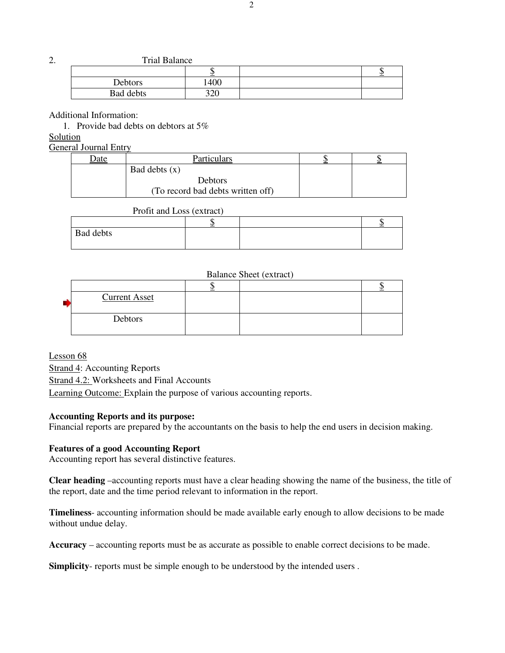2. Trial Balance

| --------------- |            |   |
|-----------------|------------|---|
|                 |            | Ψ |
| <b>Debtors</b>  | 400        |   |
| Bad debts       | າາດ<br>J∠U |   |

Additional Information:

1. Provide bad debts on debtors at 5%

Solution

General Journal Entry

| <u>date</u> | Particulars                       |  |
|-------------|-----------------------------------|--|
|             | Bad debts $(x)$                   |  |
|             | Debtors                           |  |
|             | (To record bad debts written off) |  |

|                  | Profit and Loss (extract) |  |  |
|------------------|---------------------------|--|--|
|                  |                           |  |  |
| <b>Bad debts</b> |                           |  |  |

#### Balance Sheet (extract)

| <b>Current Asset</b> |  |  |
|----------------------|--|--|
| Debtors              |  |  |

Lesson 68 Strand 4: Accounting Reports Strand 4.2: Worksheets and Final Accounts Learning Outcome: Explain the purpose of various accounting reports.

#### **Accounting Reports and its purpose:**

Financial reports are prepared by the accountants on the basis to help the end users in decision making.

#### **Features of a good Accounting Report**

Accounting report has several distinctive features.

**Clear heading** –accounting reports must have a clear heading showing the name of the business, the title of the report, date and the time period relevant to information in the report.

**Timeliness**- accounting information should be made available early enough to allow decisions to be made without undue delay.

**Accuracy** – accounting reports must be as accurate as possible to enable correct decisions to be made.

**Simplicity**- reports must be simple enough to be understood by the intended users .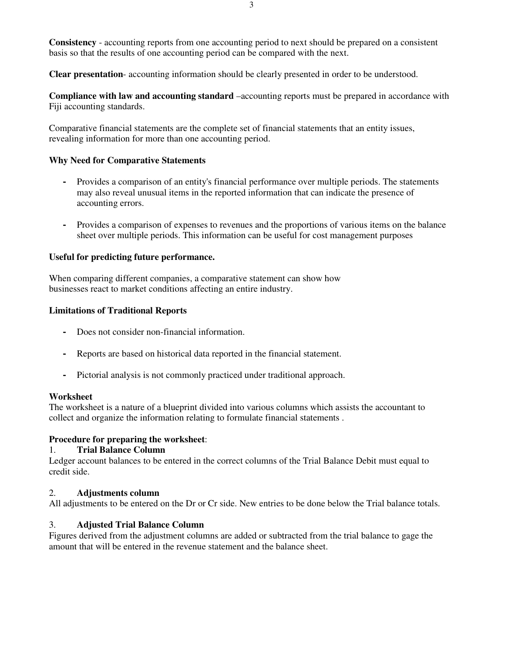**Consistency** - accounting reports from one accounting period to next should be prepared on a consistent basis so that the results of one accounting period can be compared with the next.

**Clear presentation**- accounting information should be clearly presented in order to be understood.

**Compliance with law and accounting standard** –accounting reports must be prepared in accordance with Fiji accounting standards.

Comparative financial statements are the complete set of financial statements that an entity issues, revealing information for more than one accounting period.

#### **Why Need for Comparative Statements**

- **-** Provides a comparison of an entity's financial performance over multiple periods. The statements may also reveal unusual items in the reported information that can indicate the presence of accounting errors.
- **-** Provides a comparison of expenses to revenues and the proportions of various items on the balance sheet over multiple periods. This information can be useful for cost management purposes

### **Useful for predicting future performance.**

When comparing different companies, a comparative statement can show how businesses react to market conditions affecting an entire industry.

#### **Limitations of Traditional Reports**

- **-** Does not consider non-financial information.
- **-** Reports are based on historical data reported in the financial statement.
- **-** Pictorial analysis is not commonly practiced under traditional approach.

#### **Worksheet**

The worksheet is a nature of a blueprint divided into various columns which assists the accountant to collect and organize the information relating to formulate financial statements .

#### **Procedure for preparing the worksheet**:

#### 1. **Trial Balance Column**

Ledger account balances to be entered in the correct columns of the Trial Balance Debit must equal to credit side.

#### 2. **Adjustments column**

All adjustments to be entered on the Dr or Cr side. New entries to be done below the Trial balance totals.

#### 3. **Adjusted Trial Balance Column**

Figures derived from the adjustment columns are added or subtracted from the trial balance to gage the amount that will be entered in the revenue statement and the balance sheet.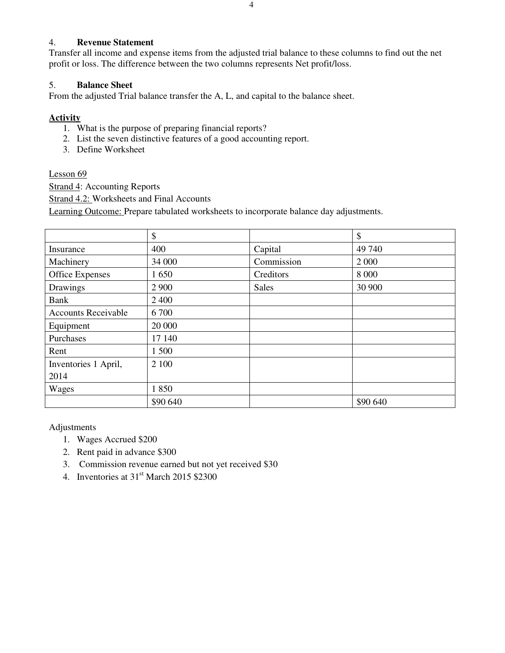### 4. **Revenue Statement**

Transfer all income and expense items from the adjusted trial balance to these columns to find out the net profit or loss. The difference between the two columns represents Net profit/loss.

### 5. **Balance Sheet**

From the adjusted Trial balance transfer the A, L, and capital to the balance sheet.

# **Activity**

- 1. What is the purpose of preparing financial reports?
- 2. List the seven distinctive features of a good accounting report.
- 3. Define Worksheet

### Lesson 69

Strand 4: Accounting Reports

Strand 4.2: Worksheets and Final Accounts

Learning Outcome: Prepare tabulated worksheets to incorporate balance day adjustments.

|                            | \$       |              | \$       |
|----------------------------|----------|--------------|----------|
| Insurance                  | 400      | Capital      | 49 740   |
| Machinery                  | 34 000   | Commission   | 2 0 0 0  |
| <b>Office Expenses</b>     | 1650     | Creditors    | 8 0 0 0  |
| Drawings                   | 2 9 0 0  | <b>Sales</b> | 30 900   |
| <b>Bank</b>                | 2 4 0 0  |              |          |
| <b>Accounts Receivable</b> | 6700     |              |          |
| Equipment                  | 20 000   |              |          |
| Purchases                  | 17 140   |              |          |
| Rent                       | 1500     |              |          |
| Inventories 1 April,       | 2 100    |              |          |
| 2014                       |          |              |          |
| Wages                      | 1850     |              |          |
|                            | \$90 640 |              | \$90 640 |

Adjustments

- 1. Wages Accrued \$200
- 2. Rent paid in advance \$300
- 3. Commission revenue earned but not yet received \$30
- 4. Inventories at  $31<sup>st</sup>$  March 2015 \$2300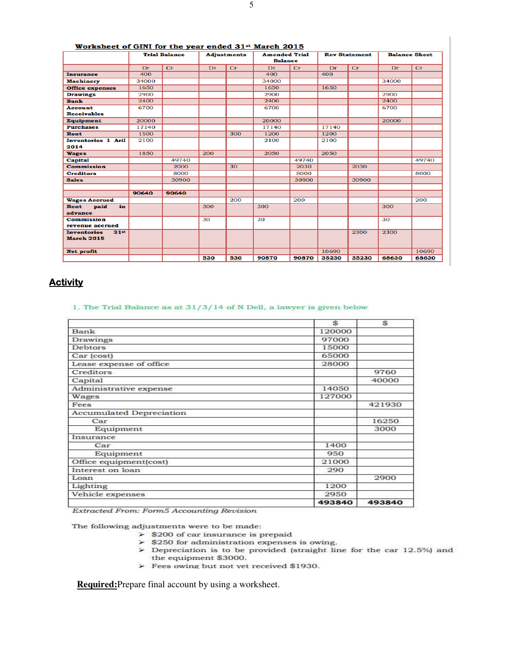| Worksheet of GINI for the year ended 31 <sup>st</sup> March 2015 |       |                      |     |                    |                                        |       |       |                      |                      |       |
|------------------------------------------------------------------|-------|----------------------|-----|--------------------|----------------------------------------|-------|-------|----------------------|----------------------|-------|
|                                                                  |       | <b>Trial Balance</b> |     | <b>Adjustments</b> | <b>Amended Trial</b><br><b>Balance</b> |       |       | <b>Rev Statement</b> | <b>Balance Sheet</b> |       |
|                                                                  | Dr    | Cr                   | Dr  | Cr                 | Dr                                     | Cr    | Dr    | Cr                   | Dr                   | Cr    |
| <b>Insurance</b>                                                 | 400   |                      |     |                    | 400                                    |       | 400   |                      |                      |       |
| <b>Machinery</b>                                                 | 34000 |                      |     |                    | 34000                                  |       |       |                      | 34000                |       |
| <b>Office expenses</b>                                           | 1650  |                      |     |                    | 1650                                   |       | 1650  |                      |                      |       |
| <b>Drawings</b>                                                  | 2900  |                      |     |                    | 2900                                   |       |       |                      | 2900                 |       |
| <b>Bank</b>                                                      | 2400  |                      |     |                    | 2400                                   |       |       |                      | 2400                 |       |
| <b>Account</b>                                                   | 6700  |                      |     |                    | 6700                                   |       |       |                      | 6700                 |       |
| <b>Receivables</b>                                               |       |                      |     |                    |                                        |       |       |                      |                      |       |
| <b>Equipment</b>                                                 | 20000 |                      |     |                    | 20000                                  |       |       |                      | 20000                |       |
| <b>Purchases</b>                                                 | 17140 |                      |     |                    | 17140                                  |       | 17140 |                      |                      |       |
| <b>Rent</b>                                                      | 1500  |                      |     | 300                | 1200                                   |       | 1200  |                      |                      |       |
| <b>Inventories 1 Aril</b>                                        | 2100  |                      |     |                    | 2100                                   |       | 2100  |                      |                      |       |
| 2014                                                             |       |                      |     |                    |                                        |       |       |                      |                      |       |
| <b>Wages</b>                                                     | 1850  |                      | 200 |                    | 2050                                   |       | 2050  |                      |                      |       |
| <b>Capital</b>                                                   |       | 49740                |     |                    |                                        | 49740 |       |                      |                      | 49740 |
| <b>Commission</b>                                                |       | 2000                 |     | 30                 |                                        | 2030  |       | 2030                 |                      |       |
| <b>Creditors</b>                                                 |       | 8000                 |     |                    |                                        | 8000  |       |                      |                      | 8000  |
| <b>Sales</b>                                                     |       | 30900                |     |                    |                                        | 30900 |       | 30900                |                      |       |
|                                                                  |       |                      |     |                    |                                        |       |       |                      |                      |       |
|                                                                  | 90640 | 90640                |     |                    |                                        |       |       |                      |                      |       |
| <b>Wages Accrued</b>                                             |       |                      |     | 200                |                                        | 200   |       |                      |                      | 200   |
| paid<br>Rent<br>in                                               |       |                      | 300 |                    | 300                                    |       |       |                      | 300                  |       |
| advance                                                          |       |                      |     |                    |                                        |       |       |                      |                      |       |
| <b>Commission</b>                                                |       |                      | 30  |                    | 30                                     |       |       |                      | 30                   |       |
| revenue accrued                                                  |       |                      |     |                    |                                        |       |       |                      |                      |       |
| 31 <sup>st</sup><br><b>Inventories</b>                           |       |                      |     |                    |                                        |       |       | 2300                 | 2300                 |       |
| <b>March 2015</b>                                                |       |                      |     |                    |                                        |       |       |                      |                      |       |
| <b>Net profit</b>                                                |       |                      |     |                    |                                        |       | 10690 |                      |                      | 10690 |
|                                                                  |       |                      | 530 | 530                | 90870                                  | 90870 | 35230 | 35230                | 68630                | 68630 |
|                                                                  |       |                      |     |                    |                                        |       |       |                      |                      |       |

# **Activity**

#### 1. The Trial Balance as at  $31/3/14$  of N Dell, a lawyer is given below

|                                 | \$     | \$.    |
|---------------------------------|--------|--------|
| Bank                            | 120000 |        |
| Drawings                        | 97000  |        |
| <b>Debtors</b>                  | 15000  |        |
| Car (cost)                      | 65000  |        |
| Lease expense of office         | 28000  |        |
| Creditors                       |        | 9760   |
| Capital                         |        | 40000  |
| Administrative expense          | 14050  |        |
| Wages                           | 127000 |        |
| Fees                            |        | 421930 |
| <b>Accumulated Depreciation</b> |        |        |
| Car                             |        | 16250  |
| Equipment                       |        | 3000   |
| Insurance                       |        |        |
| Car                             | 1400   |        |
| Equipment                       | 950    |        |
| Office equipment(cost)          | 21000  |        |
| Interest on loan                | 290    |        |
| Loan                            |        | 2900   |
| Lighting                        | 1200   |        |
| Vehicle expenses                | 2950   |        |
|                                 | 493840 | 493840 |

Extracted From: Form5 Accounting Revision

The following adjustments were to be made:

- $\triangleright$  \$200 of car insurance is prepaid
- $\geq$  \$250 for administration expenses is owing.
- $\triangleright$  Depreciation is to be provided (straight line for the car 12.5%) and the equipment \$3000.
- > Fees owing but not yet received \$1930.

**Required:**Prepare final account by using a worksheet.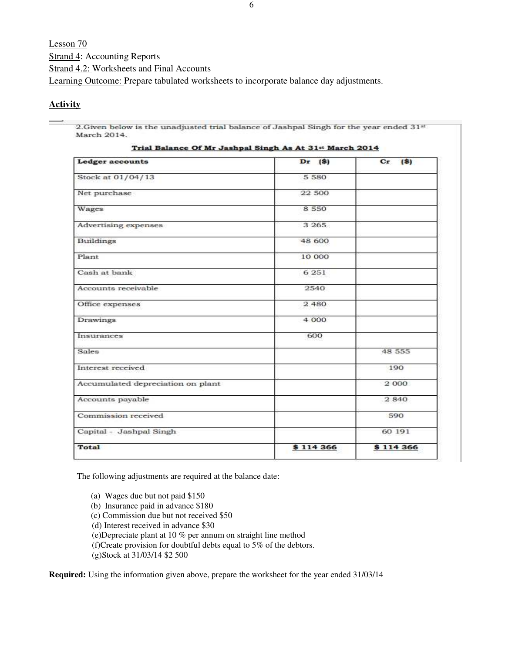Lesson 70 Strand 4: Accounting Reports Strand 4.2: Worksheets and Final Accounts Learning Outcome: Prepare tabulated worksheets to incorporate balance day adjustments.

### **Activity**

2. Given below is the unadjusted trial balance of Jashpal Singh for the year ended 31<sup>st</sup> March 2014.

| <b>Ledger accounts</b>            | $Dr$ (\$) | Cr.<br>(5) |
|-----------------------------------|-----------|------------|
| Stock at 01/04/13                 | 5 5 8 0   |            |
| Net purchase                      | 22 500    |            |
| Wages                             | 8 5 5 0   |            |
| Advertising expenses              | 3 2 6 5   |            |
| Buildings                         | 48 600    |            |
| Plant                             | 10 000    |            |
| Cash at bank                      | 6 2 5 1   |            |
| Accounts receivable               | 2540      |            |
| Office expenses                   | 2 480     |            |
| <b>Drawings</b>                   | 4.000     |            |
| Insurances                        | 600       |            |
| Sales                             |           | 48 555     |
| Interest received                 |           | 190        |
| Accumulated depreciation on plant |           | 2 000      |
| Accounts payable                  |           | 2840       |
| Commission received               |           | 590        |
| Capital - Jashpal Singh           |           | 60 191     |
| <b>Total</b>                      | \$114 366 | \$114 366  |

Trial Balance Of Mr Jachnal Singh As At 31st March 2014

The following adjustments are required at the balance date:

- (a) Wages due but not paid \$150
- (b) Insurance paid in advance \$180
- (c) Commission due but not received \$50
- (d) Interest received in advance \$30
- (e)Depreciate plant at 10 % per annum on straight line method
- (f)Create provision for doubtful debts equal to 5% of the debtors.

(g)Stock at 31/03/14 \$2 500

**Required:** Using the information given above, prepare the worksheet for the year ended 31/03/14